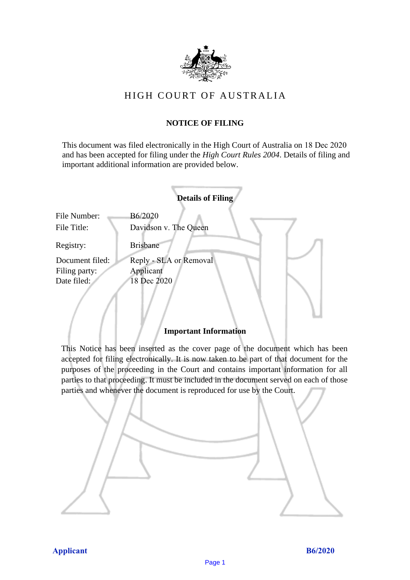

## HIGH COURT OF AU STRALIA HIGH COURT OF AUSTRALIA

## **NOTICE OF FILING** NOTICE OF FILING

This document was filed electronically in the High Court of Australia on 18 Dec 2020 This document was filed electronically in the High Court of Australia <sup>20</sup> and has been accepted for filing under the *High Court Rules 2004*. Details of filing and important additional information are provided below. important additional information are provided below.

|                 |                        | <b>Details of Filing</b> |  |
|-----------------|------------------------|--------------------------|--|
| File Number:    | B6/2020                |                          |  |
| File Title:     | Davidson v. The Queen  |                          |  |
| Registry:       | <b>Brisbane</b>        |                          |  |
| Document filed: | Reply - SLA or Removal |                          |  |
| Filing party:   | Applicant              |                          |  |
| Date filed:     | 18 Dec 2020            |                          |  |
|                 |                        |                          |  |
|                 |                        |                          |  |
|                 |                        |                          |  |

### **Important Information** Important Information

This Notice has been inserted as the cover page of the document which has been accepted for filing electronically. It is now taken to be part of that document for the purposes of the proceeding in the Court and contains important information for all parties to that proceeding. It must be included in the document served on each of those parties and whenever the document is reproduced for use by the Court. parties and whenever the document is reproduced for use by the Court

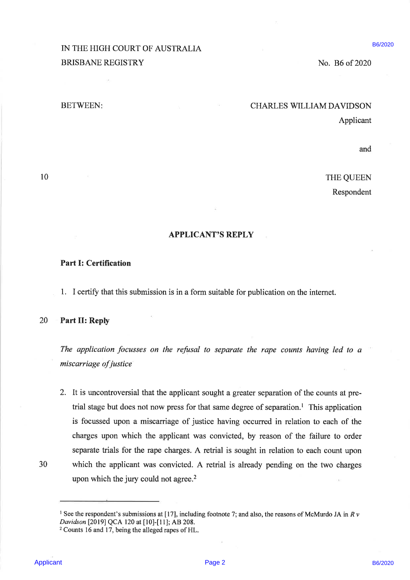# IN THE HIGH COURT OF AUSTRALIA B6/2020 BRISBANE REGISTRY No. B6 of 2020

# BETWEEN: CHARLES WILLIAM DAVIDSON

Applicant

and

10 THE QUEEN

Respondent

### APPLICANT'S REPLY

### Part I: Certification

1. <sup>I</sup> certify that this submission is in a form suitable for publication on the internet.

### 20 Part II: Reply

The application focusses on the refusal to separate the rape counts having led to a miscarriage of justice

IN THE INDIT COURT OF AUSTRALIA<br>
BRISBANE REGISTRY<br>
INCTWILT-<br>
BRISBANE REGISTRY<br>
INCTWILT-<br>
INCTWILT-<br>
INCTWILT-<br>
INCTWILT-<br>
THE QUEEN Responsion<br>
APPLICANT'S REPTLY<br>
THE QUEEN Responsion<br>
APPLICANT'S REPTLY<br>
Part I: Cer 2. It is uncontroversial that the applicant sought a greater separation of the counts at pretrial stage but does not now press for that same degree of separation.! This application is focussed upon <sup>a</sup> miscarriage of justice having occurred in relation to each of the charges upon which the applicant was convicted, by reason of the failure to order separate trials for the rape charges. A retrial is sought in relation to each count upon 30 which the applicant was convicted. A retrial is already pending on the two charges upon which the jury could not agree. $2$ 

<sup>&</sup>lt;sup>1</sup> See the respondent's submissions at [17], including footnote 7; and also, the reasons of McMurdo JA in R v Davidson [2019] QCA 120 at [10]-[11]; AB 208.

<sup>2</sup>Counts 16 and 17, being the alleged rapes of HL.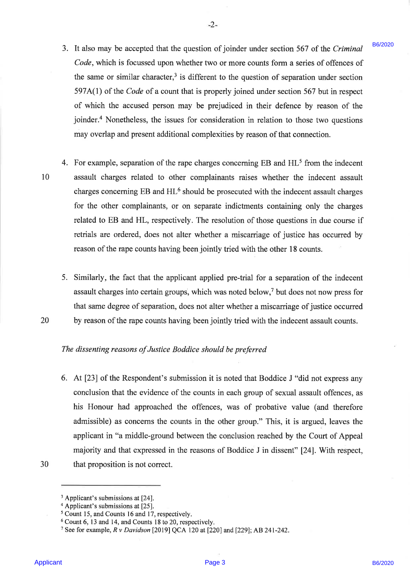It also may be accepted that the question of joinder under section 567 of the Criminal Code, which is focussed upon whether two or more counts form a series of offences of the same or similar character,<sup>3</sup> is different to the question of separation under section 597A(1) of the Code of a count that is properly joined under section 567 but in respect of which the accused person may be prejudiced in their defence by reason of the joinder.<sup>4</sup> Nonetheless, the issues for consideration in relation to those two questions may overlap and present additional complexities by reason of that connection.

-2-

- 3. It also may be accreated that the unestion of jointler undersection 367 of the Criminal 1982.<br>Code, which is forcased upon whether two or more counts form a necies of different of the varies or similar charactery 1s, d 10 4. For example, separation of the rape charges concerning  $EB$  and  $HL<sup>5</sup>$  from the indecent assault charges related to other complainants raises whether the indecent assault charges concerning  $EB$  and  $HL^6$  should be prosecuted with the indecent assault charges for the other complainants, or on separate indictments containing only the charges related to EB and HL, respectively. The resolution of those questions in due course if retrials are ordered, does not alter whether a miscarriage of justice has occurred by reason of the rape counts having been jointly tried with the other 18 counts.
	- Similarly, the fact that the applicant applied pre-trial for a separation of the indecent assault charges into certain groups, which was noted below,' but does not now press for that same degree of separation, does not alter whether a miscarriage of justice occurred by reason of the rape counts having been jointly tried with the indecent assault counts.
	- The dissenting reasons of Justice Boddice should be preferred
	- 6. At [23] of the Respondent's submission it is noted that Boddice <sup>J</sup> "did not express any conclusion that the evidence of the counts in each group of sexual assault offences, as his Honour had approached the offences, was of probative value (and therefore admissible) as concerns the counts in the other group." This, it is argued, leaves the applicant in "a middle-ground between the conclusion reached by the Court of Appeal majority and that expressed in the reasons of Boddice <sup>J</sup> in dissent" [24]. With respect, that proposition is not correct.

30

20

<sup>&</sup>lt;sup>3</sup> Applicant's submissions at [24].

 $4$  Applicant's submissions at [25].

<sup>&</sup>lt;sup>5</sup> Count 15, and Counts 16 and 17, respectively.

Count 6, <sup>13</sup> and 14, and Counts <sup>18</sup> to 20, respectively.

<sup>7</sup> See for example, R v Davidson [2019] QCA 120 at [220] and [229]; AB 241-242.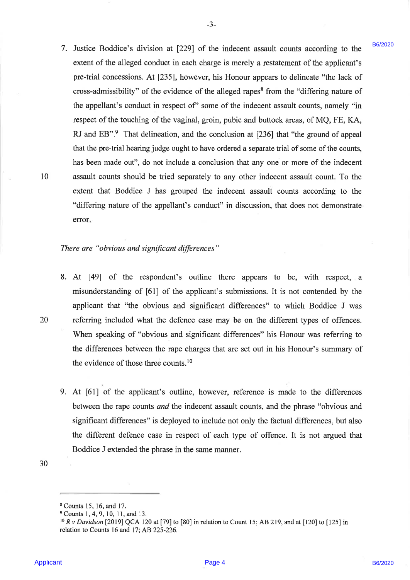1. Lutica Heriotics in division at 1239) of the followear insected mesh consistent of the applicant's entertain consistent of the applicant's pre-trial consequences (a) following the pre-trial consequences (A) [215], how 7. Justice Boddice's division at [229] of the indecent assault counts according to the extent of the alleged conduct in each charge is merely a restatement of the applicant's pre-trial concessions. At [235], however, his Honour appears to delineate "the lack of cross-admissibility" of the evidence of the alleged rapes® from the "differing nature of the appellant's conduct in respect of' some of the indecent assault counts, namely "in respect of the touching of the vaginal, groin, pubic and buttock areas, of MQ, FE, KA, RJ and EB".<sup>9</sup> That delineation, and the conclusion at [236] that "the ground of appeal that the pre-trial hearing judge ought to have ordered <sup>a</sup> separate trial of some of the counts, has been made out", do not include a conclusion that any one or more of the indecent assault counts should be tried separately to any other indecent assault count. To the extent that Boddice J has grouped the indecent assault counts according to the "differing nature of the appellant's conduct" in discussion, that does not demonstrate error.

-3-

20

10

#### There are "obvious and significant differences"

- 8. At [49] of the respondent's outline there appears to be, with respect, a misunderstanding of [61] of the applicant's submissions. It is not contended by the applicant that "the obvious and significant differences" to which Boddice J was referring included what the defence case may be on the different types of offences. When speaking of "obvious and significant differences" his Honour was referring to the differences between the rape charges that are set out in his Honour's summary of the evidence of those three counts.<sup>10</sup>
- At [61] of the applicant's outline, however, reference is made to the differences between the rape counts and the indecent assault counts, and the phrase "obvious and significant differences" is deployed to include not only the factual differences, but also the different defence case in respect of each type of offence. It is not argued that Boddice <sup>J</sup> extended the phrase in the same manner.

30

<sup>§</sup> Counts 15, 16, and 17.

<sup>9</sup>Counts 1, 4, 9, 10, 11, and 13.

<sup>10</sup> <sup>R</sup> v Davidson [2019] QCA 120 at [79] to [80] in relation to Count 15; AB 219, and at [120] to [125] in relation to Counts 16 and 17; AB 225-226.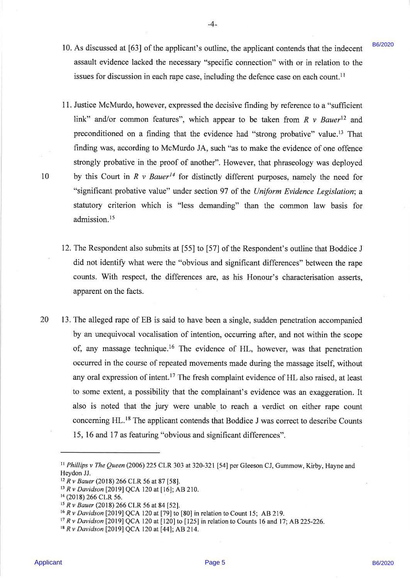10. As discussed at [63] of the applicant's outline, the applicant contends that the indecent assault evidence lacked the necessary "specific connection" with or in relation to the issues for discussion in each rape case, including the defence case on each count.<sup>11</sup>

-4-

- 11. Justice McMurdo, however, expressed the decisive finding by reference to a "sufficient link" and/or common features", which appear to be taken from  $R \nu Bauer^{12}$  and preconditioned on a finding that the evidence had "strong probative" value.'? That finding was, according to McMurdo JA, such "as to make the evidence of one offence strongly probative in the proof of another". However, that phraseology was deployed by this Court in R v Bauer<sup>14</sup> for distinctly different purposes, namely the need for "significant probative value" under section 97 of the Uniform Evidence Legislation; <sup>a</sup> statutory criterion which is "less demanding" than the common law basis for admission.<sup>15</sup>
- 12. The Respondent also submits at [55] to [57] of the Respondent's outline that Boddice . did not identify what were the "obvious and significant differences" between the rape counts. With respect, the differences are, as his Honour's characterisation asserts, apparent on the facts.
- 10. As discussed at (63) that by splitteric souties (a) the paplicant contents in the indetermination of the minimizary and the minimizary and the minimizary and the minimizary and the minimizary and a statistical to the 20 13. The alleged rape of EB is said to have been a single, sudden penetration accompanied by an unequivocal vocalisation of intention, occurring after, and not within the scope of, any massage technique.<sup>16</sup> The evidence of HL, however, was that penetration occurred in the course of repeated movements made during the massage itself, without any oral expression of intent.<sup>17</sup> The fresh complaint evidence of HL also raised, at least to some extent, a possibility that the complainant's evidence was an exaggeration. It also is noted that the jury were unable to reach a verdict on either rape count concerning HL.!® The applicant contends that Boddice J was correct to describe Counts 15, 16 and 17 as featuring "obvious and significant differences".

10

B6/2020

<sup>&</sup>lt;sup>11</sup> Phillips v The Queen (2006) 225 CLR 303 at 320-321 [54] per Gleeson CJ, Gummow, Kirby, Hayne and Heydon JJ.

 $12 Rv$  Bauer (2018) 266 CLR 56 at 87 [58].

 $13$  R v Davidson [2019] QCA 120 at [16]; AB 210.

<sup>&</sup>lt;sup>14</sup> (2018) 266 CLR 56.

 $^{15}$  R v Bauer (2018) 266 CLR 56 at 84 [52].

<sup>16</sup> <sup>R</sup> y Davidson [2019] QCA 120 at [79] to [80] in relation to Count 15; AB 219.

 $17 R v$  Davidson [2019] QCA 120 at [120] to [125] in relation to Counts 16 and 17; AB 225-226.

<sup>&</sup>lt;sup>18</sup> R v Davidson [2019] QCA 120 at [44]; AB 214.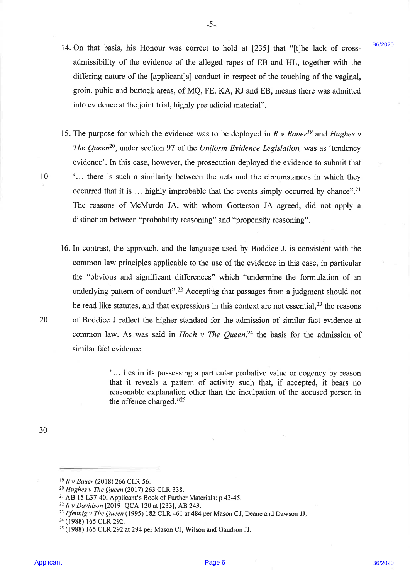14. On that basis, his Honour was correct to hold at [235] that "[t]he lack of crossadmissibility of the evidence of the alleged rapes of EB and HL, together with the differing nature of the [applicant]s] conduct in respect of the touching of the vaginal, groin, pubic and buttock areas, of MQ, FE, KA, RJ and EB, means there was admitted into evidence at the joint trial, highly prejudicial material".

-5-

- 15. The purpose for which the evidence was to be deployed in R v Bauer<sup>19</sup> and Hughes v The Queen<sup>20</sup>, under section 97 of the Uniform Evidence Legislation, was as 'tendency evidence'. In this case, however, the prosecution deployed the evidence to submit that <sup>10</sup> '... there is such a similarity between the acts and the circumstances in which they occurred that it is  $\ldots$  highly improbable that the events simply occurred by chance".<sup>21</sup> The reasons of McMurdo JA, with whom Gotterson JA agreed, did not apply a distinction between "probability reasoning" and "propensity reasoning".
- 14. On that bosts, the Honora was convect to hold at 1252 f has the loss of energy contained by the scheme of the state of the scheme of the scheme of the special energy of the cooling of the vaginal, goint, please of the 16. In contrast, the approach, and the language used by Boddice J, is consistent with the common law principles applicable to the use of the evidence in this case, in particular the "obvious and significant differences" which "undermine the formulation of an underlying pattern of conduct".<sup>22</sup> Accepting that passages from a judgment should not be read like statutes, and that expressions in this context are not essential, $^{23}$  the reasons 20 of Boddice <sup>J</sup> reflect the higher standard for the admission of similar fact evidence at common law. As was said in Hoch v The Queen,<sup>24</sup> the basis for the admission of similar fact evidence:

"... lies in its possessing a particular probative value or cogency by reason that it reveals <sup>a</sup> pattern of activity such that, if accepted, it bears no reasonable explanation other than the inculpation of the accused person in the offence charged."

30

<sup>19</sup>R v Bauer (2018) 266 CLR 56.

<sup>20</sup> Hughes v The Queen (2017) 263 CLR 338.

<sup>21</sup> AB 15 L37-40; Applicant's Book of Further Materials: p 43-45.

<sup>&</sup>lt;sup>22</sup> R v Davidson [2019] QCA 120 at [233]; AB 243.

<sup>&</sup>lt;sup>23</sup> Pfennig v The Queen (1995) 182 CLR 461 at 484 per Mason CJ, Deane and Dawson JJ.

<sup>24</sup>(1988) <sup>165</sup> CLR 292.

 $25$  (1988) 165 CLR 292 at 294 per Mason CJ, Wilson and Gaudron JJ.